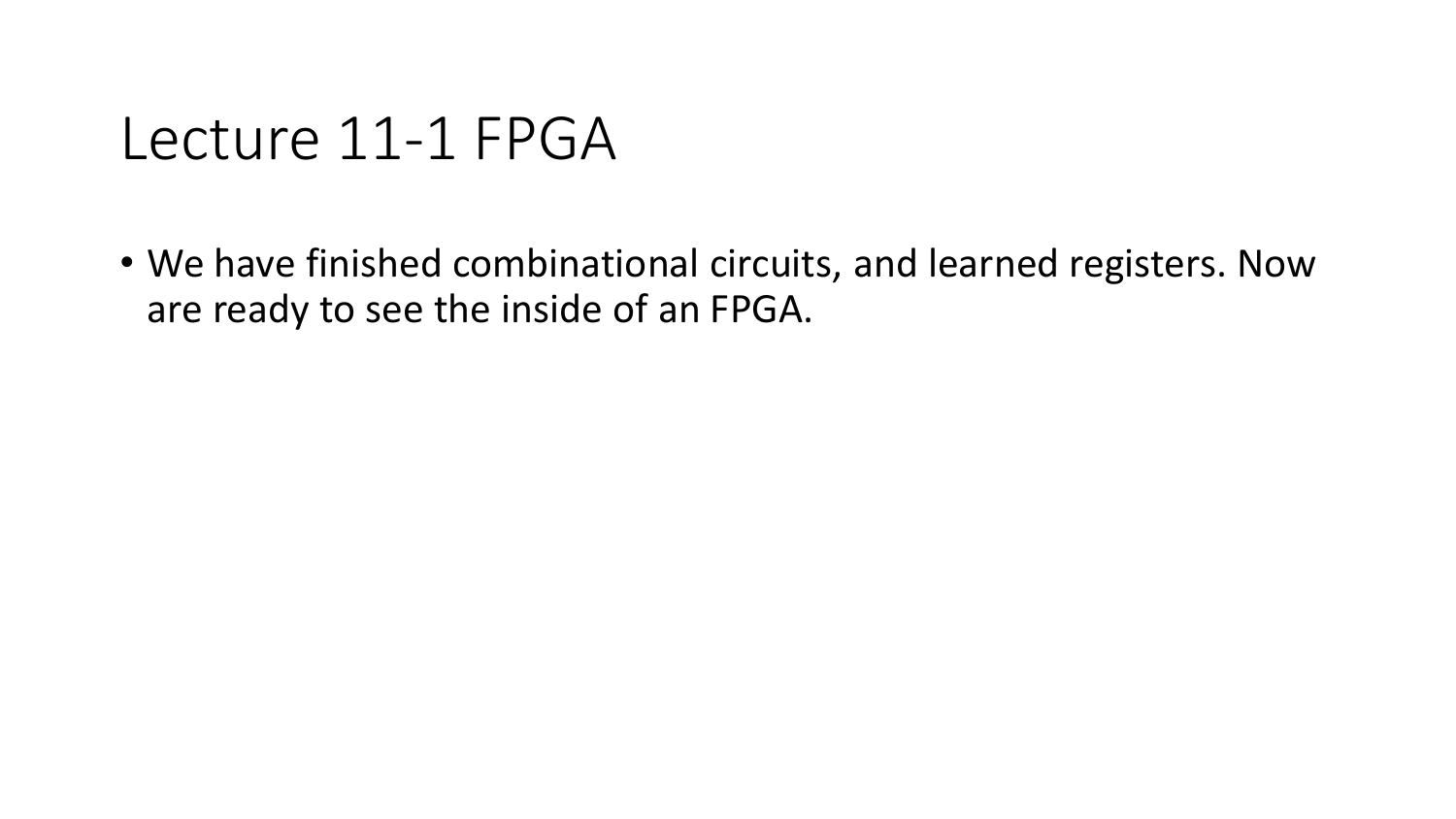#### Lecture 11-1 FPGA

• We have finished combinational circuits, and learned registers. Now are ready to see the inside of an FPGA.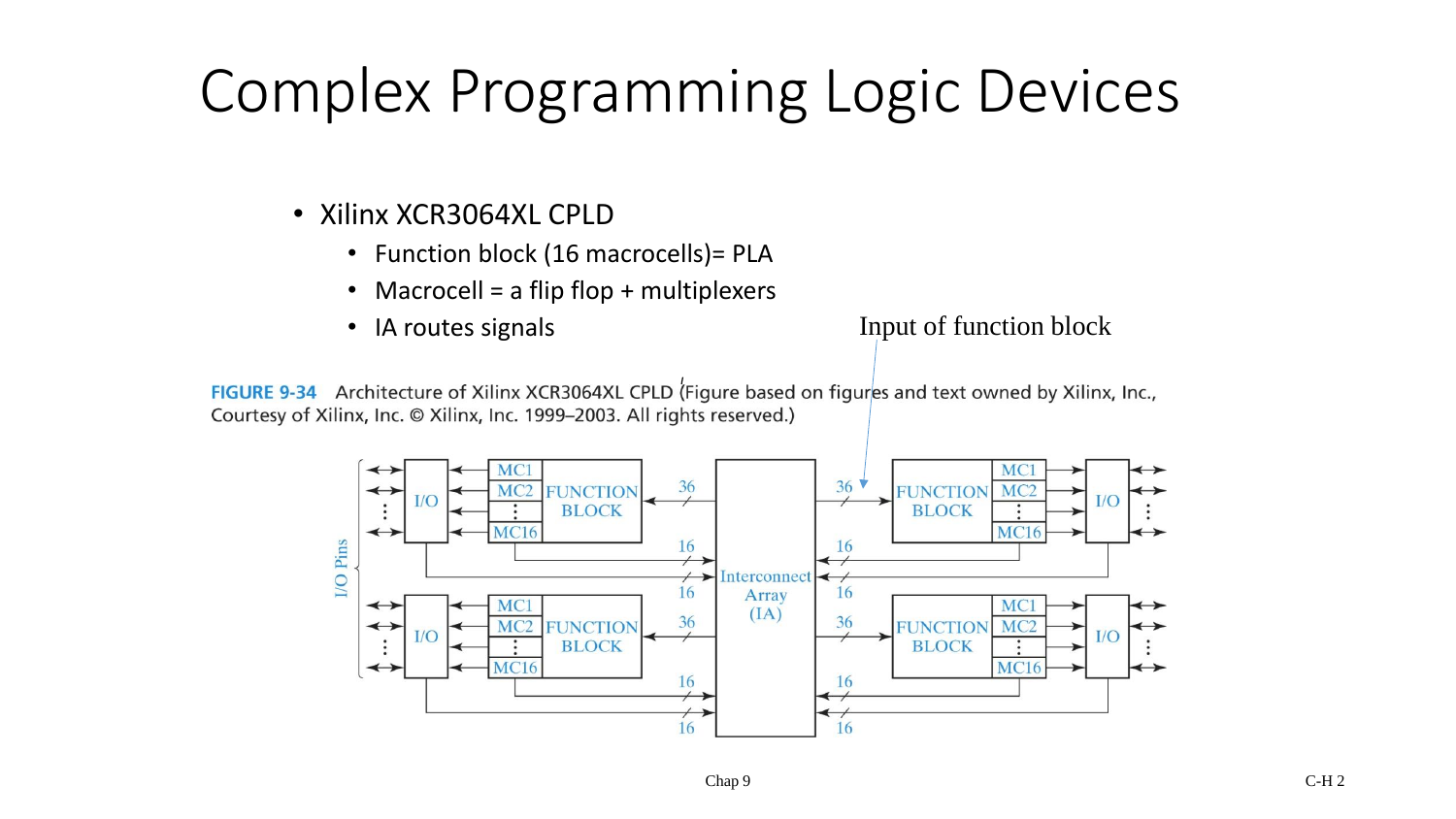# Complex Programming Logic Devices

- Xilinx XCR3064XL CPLD
	- Function block (16 macrocells)= PLA
	- Macrocell = a flip flop + multiplexers
	-

• IA routes signals **Input of function block** 

FIGURE 9-34 Architecture of Xilinx XCR3064XL CPLD (Figure based on figures and text owned by Xilinx, Inc., Courtesy of Xilinx, Inc. © Xilinx, Inc. 1999-2003. All rights reserved.)

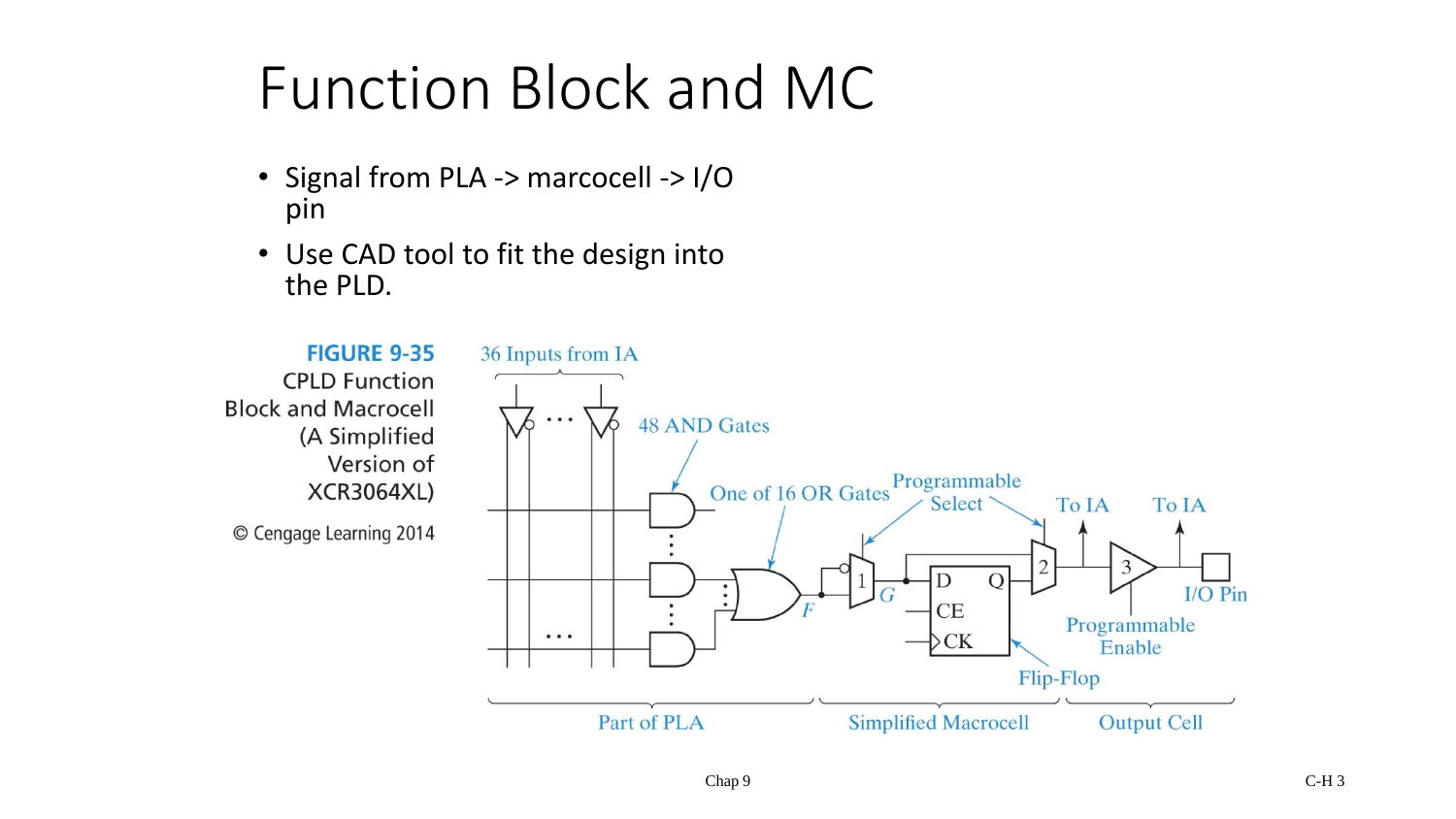## Function Block and MC

- Signal from PLA -> marcocell -> I/O pin
- Use CAD tool to fit the design into the PLD.

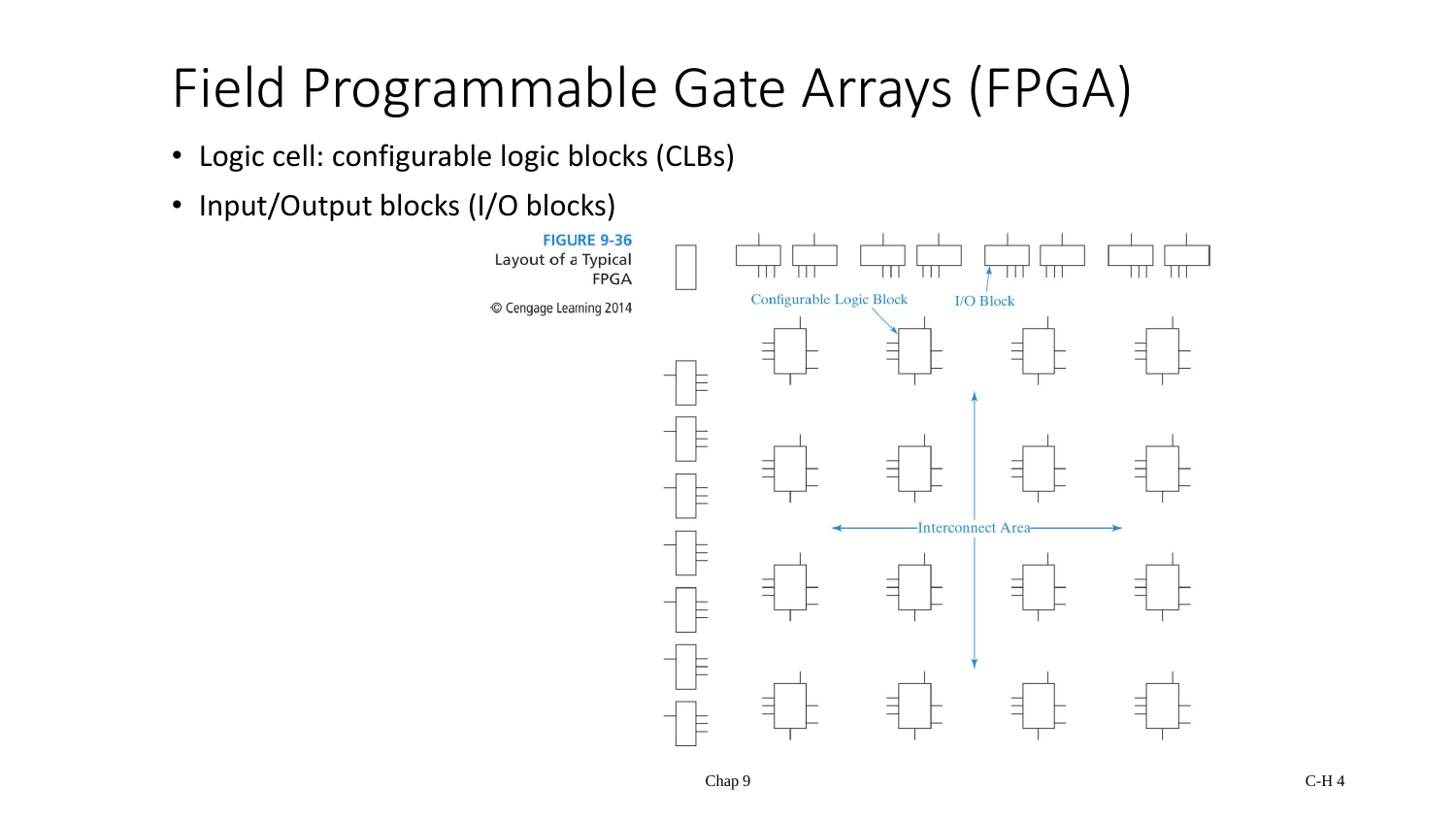## Field Programmable Gate Arrays (FPGA)

- Logic cell: configurable logic blocks (CLBs)
- Input/Output blocks (I/O blocks)

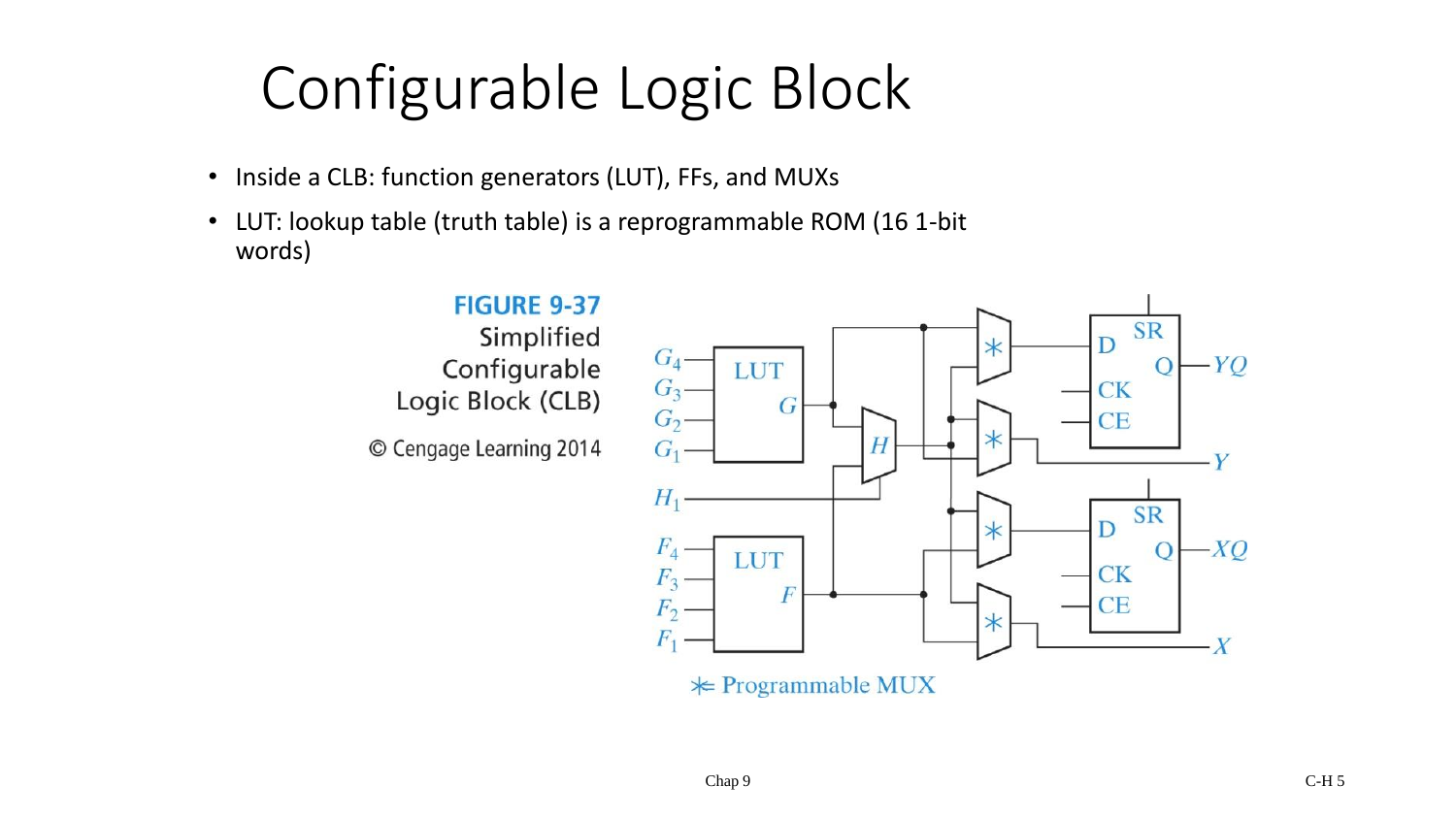# Configurable Logic Block

- Inside a CLB: function generators (LUT), FFs, and MUXs
- LUT: lookup table (truth table) is a reprogrammable ROM (16 1-bit words)

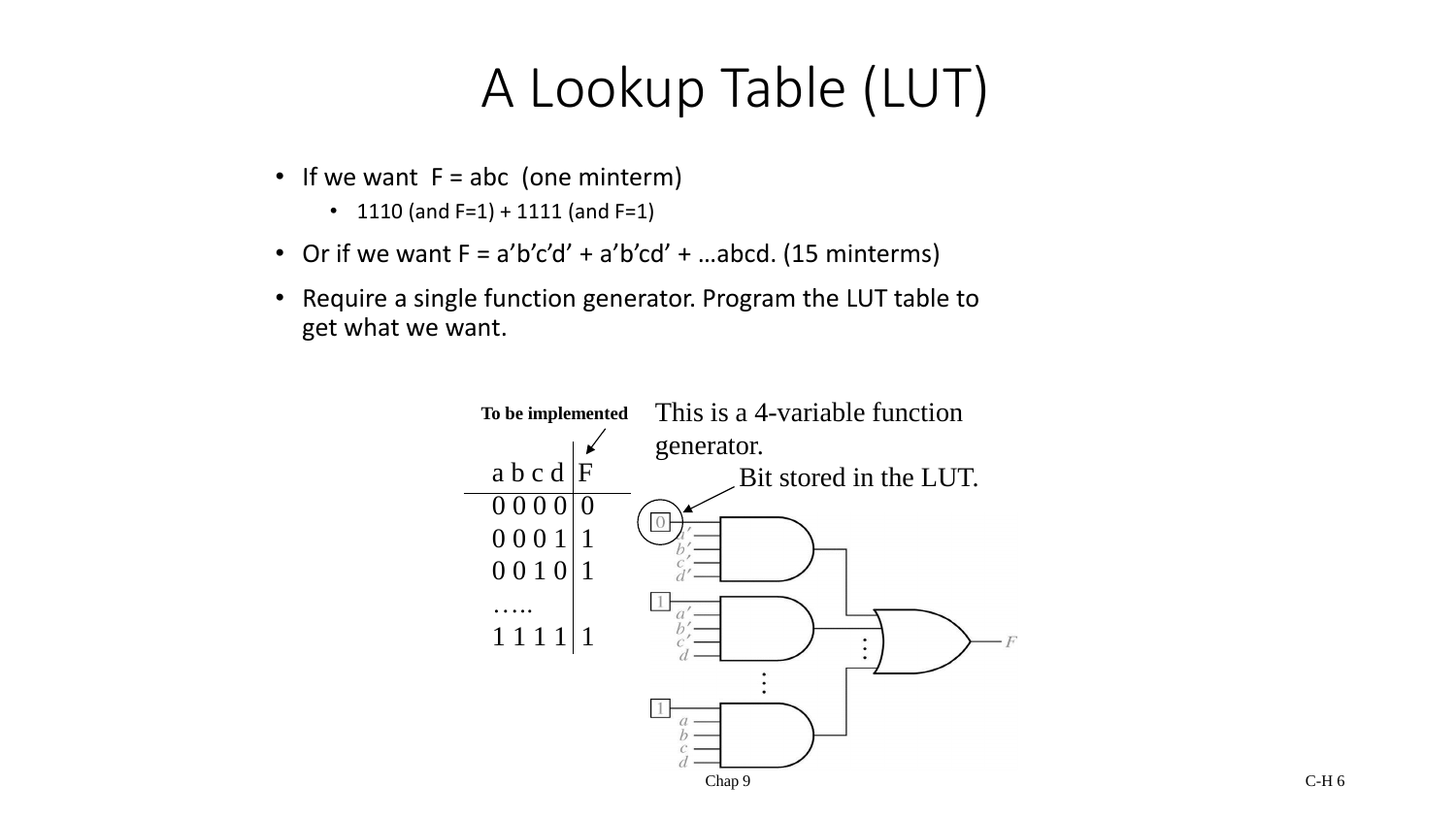#### A Lookup Table (LUT)

- If we want  $F = abc$  (one minterm)
	- 1110 (and  $F=1$ ) + 1111 (and  $F=1$ )
- Or if we want  $F = a'b'c'd' + a'b'cd' + ...abcd$ . (15 minterms)
- Require a single function generator. Program the LUT table to get what we want.

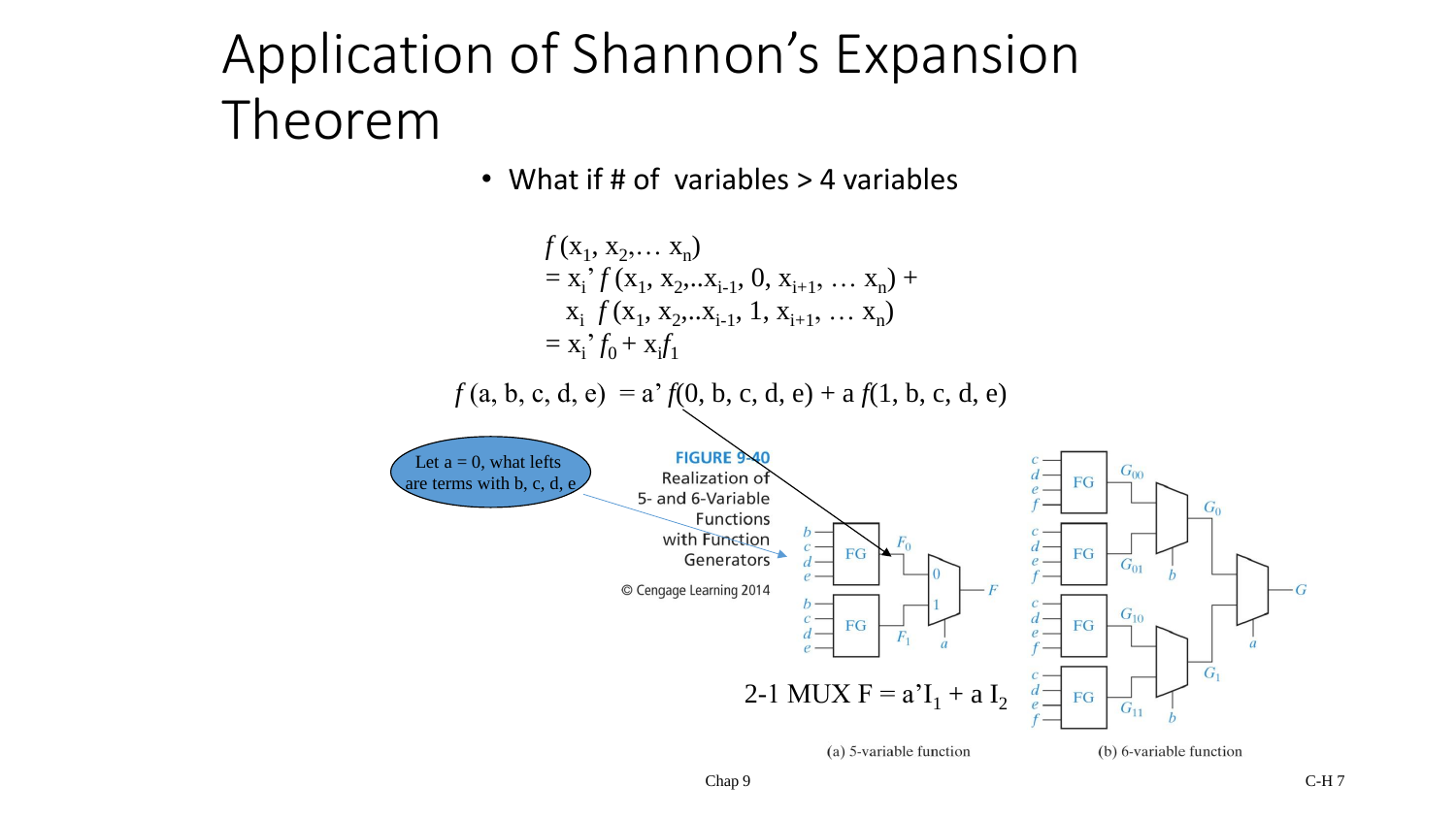### Application of Shannon's Expansion Theorem

• What if # of variables > 4 variables

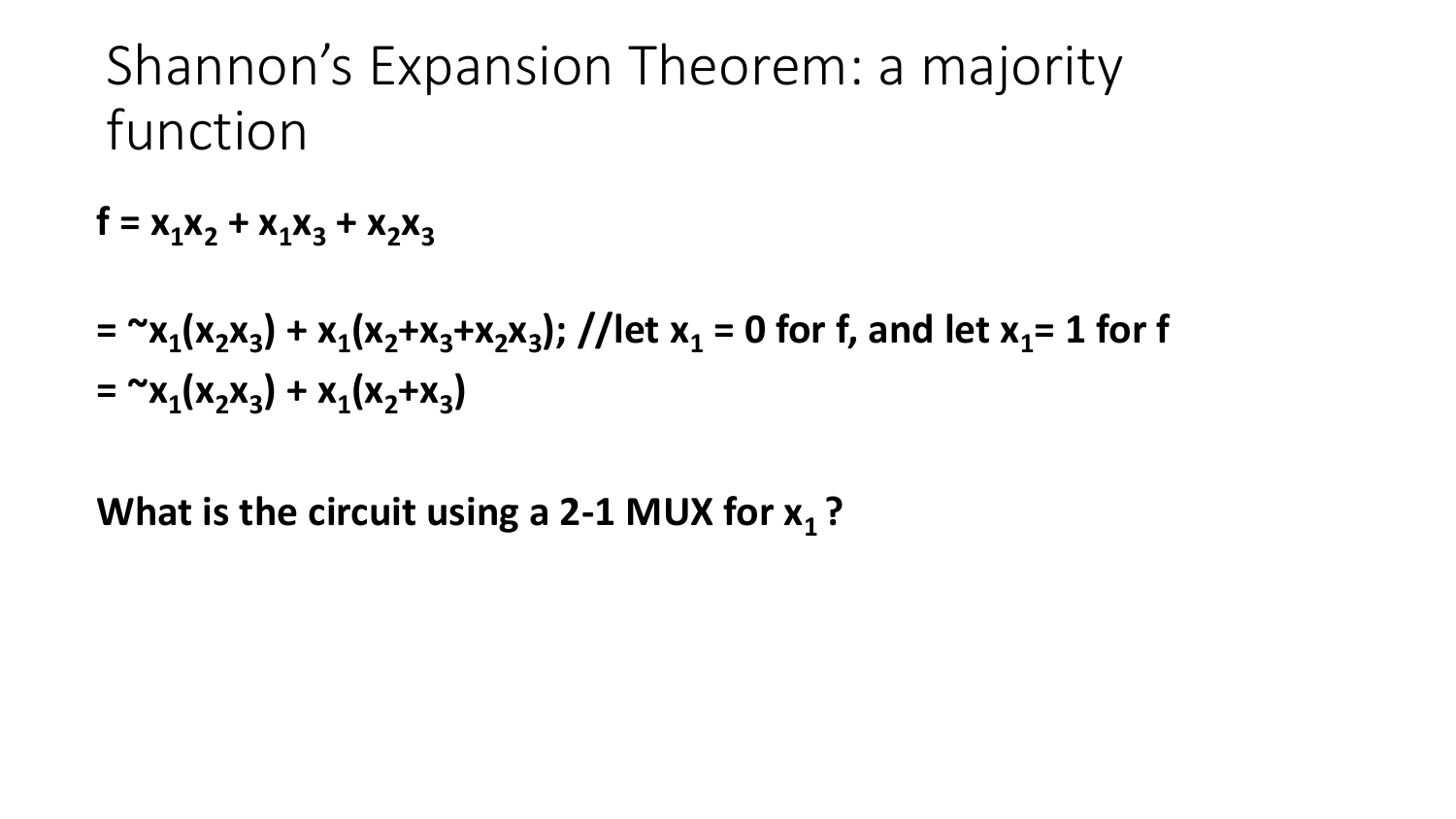#### Shannon's Expansion Theorem: a majority function

 $f = x_1x_2 + x_1x_3 + x_2x_3$ 

$$
= \alpha x_1(x_2x_3) + x_1(x_2+x_3+x_2x_3); // let x_1 = 0 for f, and let x_1 = 1 for f
$$
  
=  $\alpha x_1(x_2x_3) + x_1(x_2+x_3)$ 

What is the circuit using a 2-1 MUX for  $x_1$ ?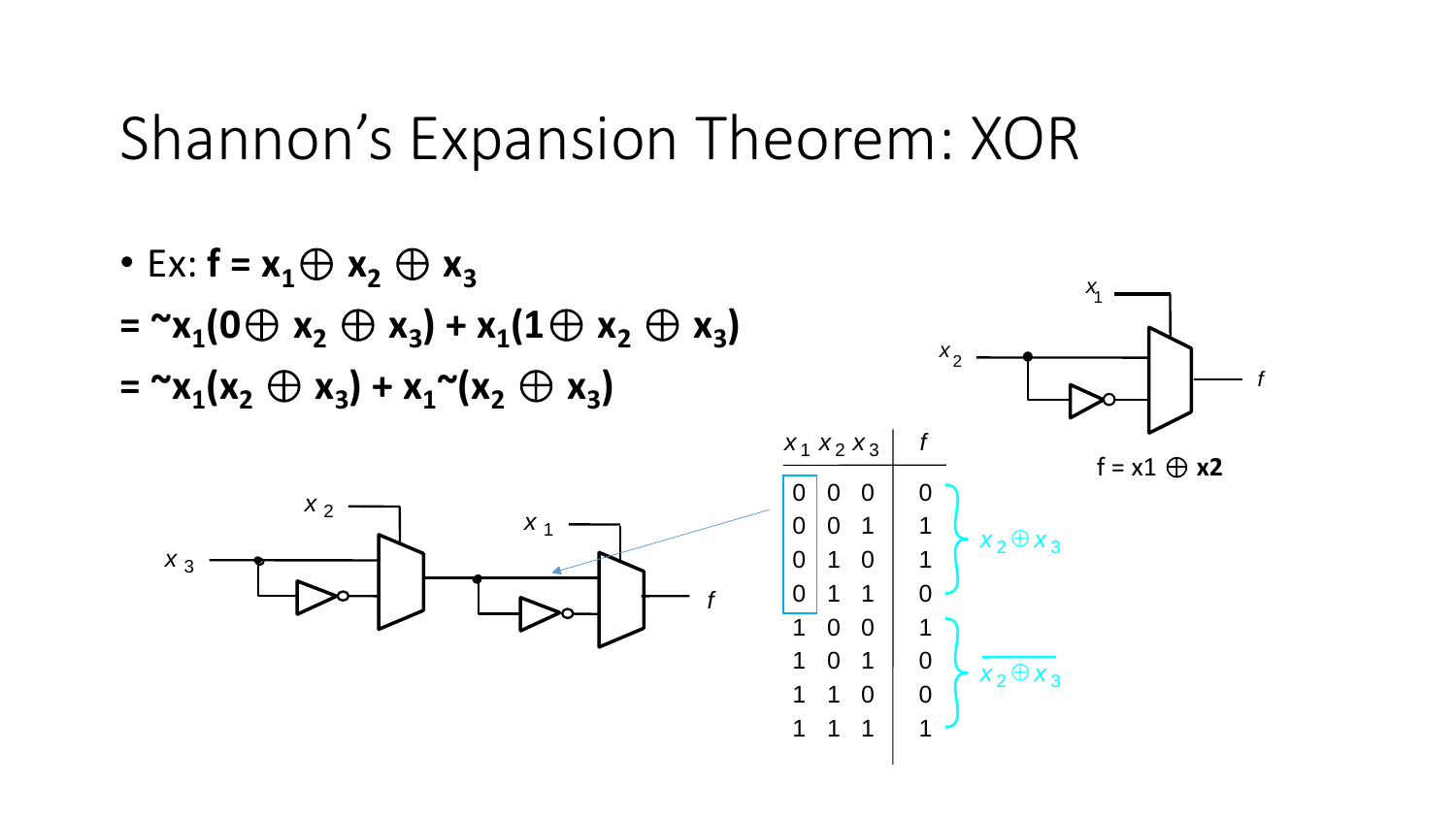#### Shannon's Expansion Theorem: XOR